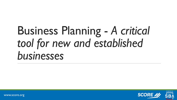# Business Planning - *A critical tool for new and established businesses*



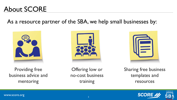# About SCORE

### As a resource partner of the SBA, we help small businesses by:





Providing free business advice and mentoring

Offering low or no-cost business training

Sharing free business templates and resources



2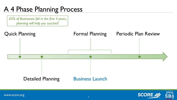# A 4 Phase Planning Process

*65% of Businesses fail in the first 4 years, planning will help you succeed!*



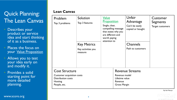### Quick Planning: The Lean Canvas

- Describes your product or service idea and start thinking of it as a business.
- Places the focus on your Value Proposition
- Allows you to test your idea early on and modify it.
- Provides a solid starting point for more detailed planning.

#### **Lean Canvas**

| Problem<br>Top 3 problems         | Solution<br>Top 3 features<br><b>Key Metrics</b><br>Key activities you<br>measure | Value<br><b>Proposition</b><br>Single, clear,<br>compelling message<br>that states why you<br>are different and<br>worth paying<br>attention to |  | Unfair<br>Advantage<br>Can't be easily<br>copied or bought<br><b>Channels</b><br>Path to customers | Customer<br>Segments<br><b>Target customers</b> |
|-----------------------------------|-----------------------------------------------------------------------------------|-------------------------------------------------------------------------------------------------------------------------------------------------|--|----------------------------------------------------------------------------------------------------|-------------------------------------------------|
| <b>Cost Structure</b>             |                                                                                   | <b>Revenue Streams</b>                                                                                                                          |  |                                                                                                    |                                                 |
| <b>Customer acquisition costs</b> |                                                                                   | Revenue model                                                                                                                                   |  |                                                                                                    |                                                 |
| <b>Distribution costs</b>         |                                                                                   | Lifetime value                                                                                                                                  |  |                                                                                                    |                                                 |
| <b>Hosting</b>                    |                                                                                   | Revenue                                                                                                                                         |  |                                                                                                    |                                                 |
| People, etc.                      |                                                                                   | <b>Gross Margin</b>                                                                                                                             |  |                                                                                                    |                                                 |

By Ash Maurya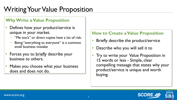# Writing Your Value Proposition

#### **Why Write a Value Proposition**

- Defines how your product/service is unique in your market.
	- "Me too's" or direct copies have a lot of risk.
	- Being "everything to everyone" is a common small business mistake
- Forces you to briefly describe your business to others.
- Makes you choose what your business does and does not do.

#### **How to Create a Value Proposition**

- Briefly describe the product/service
- Describe who you will sell it to
- Try to write your Value Proposition in 15 words or less - Simple, clear compelling message that states why your product/service is unique and worth buying.

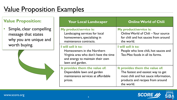# Value Proposition Examples

#### **Value Proposition:**

• Simple, clear compelling message that states why you are unique and worth buying.



| <b>Your Local Landscaper</b>                                                                                                                      | <b>Online World of Chili</b>                                                                                                                                    |
|---------------------------------------------------------------------------------------------------------------------------------------------------|-----------------------------------------------------------------------------------------------------------------------------------------------------------------|
| <b>My product/service is:</b><br>Landscaping services for local<br>homeowners, specializing in<br>maintenance contracts.                          | <b>My product/service is:</b><br>Online World of Chili - Your source<br>for chili and hot sauces from around<br>the world.                                      |
| I will sell it to:<br>Homeowners in the Northern<br>Virginia area who don't have the time<br>and energy to maintain their own<br>lawn and garden. | I will sell it to:<br>People who love chili, hot sauces and<br>Tex-Mex foods in all its forms.                                                                  |
| It provides them the value of:<br>Dependable lawn and garden<br>maintenance services at affordable<br>prices.                                     | It provides them the value of:<br>The fastest and easiest way to get<br>most chili and hot sauce information,<br>products and recipes from around<br>the world. |

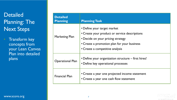### **Detailed** Planning: The Next Steps

• Transform key concepts from your Lean Canvas Plan into detailed plans

| <b>Detailed</b><br><b>Planning</b> | <b>Planning Task</b>                                                                                                                                                                                |
|------------------------------------|-----------------------------------------------------------------------------------------------------------------------------------------------------------------------------------------------------|
| <b>Marketing Plan</b>              | • Define your target market<br>• Create your product or service descriptions<br>• Decide on your pricing strategy<br>• Create a promotion plan for your business<br>• Create a competitive analysis |
| <b>Operational Plan</b>            | • Define your organization structure – first hires!<br>• Define key operational processes                                                                                                           |
| <b>Financial Plan</b>              | • Create a year one projected income statement<br>• Create a year one cash flow statement                                                                                                           |

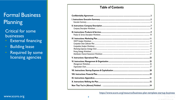### **Formal Business** Planning

**Critical for some businesses** 

- **External financing**
- **Building lease**
- Required by some licensing agencies

#### **Table of Contents**

https://www.score.org/resource/business-plan-template-startup-business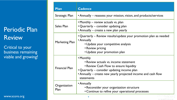## Periodic Plan **Review**

Critical to your business remaining viable and growing!

| Plan                  | <b>Cadence</b>                                                                                                                                                                                                             |
|-----------------------|----------------------------------------------------------------------------------------------------------------------------------------------------------------------------------------------------------------------------|
| Strategic Plan        | • Annually – reassess your mission, vision, and products/services                                                                                                                                                          |
| Sales Plan            | • Monthly – review actuals vs. plan<br>• Quarterly – consider updating plan<br>• Annually – create a new plan yearly                                                                                                       |
| <b>Marketing Plan</b> | • Quarterly – Review results/update your promotion plan as needed<br>• Annually<br>• Update your competitive analysis<br>• Review pricing<br>• Update your promotion plan                                                  |
| <b>Financial Plan</b> | • Monthly<br>• Review actuals vs. income statement<br>• Review Cash Flow to ensure liquidity<br>• Quarterly – consider updating income plan<br>• Annually – create new yearly projected income and cash flow<br>statements |
| Organization<br>Plan  | • Annually<br>• Reconsider your organization structure<br>• Continue to refine your operational processes                                                                                                                  |
|                       | 9                                                                                                                                                                                                                          |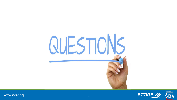